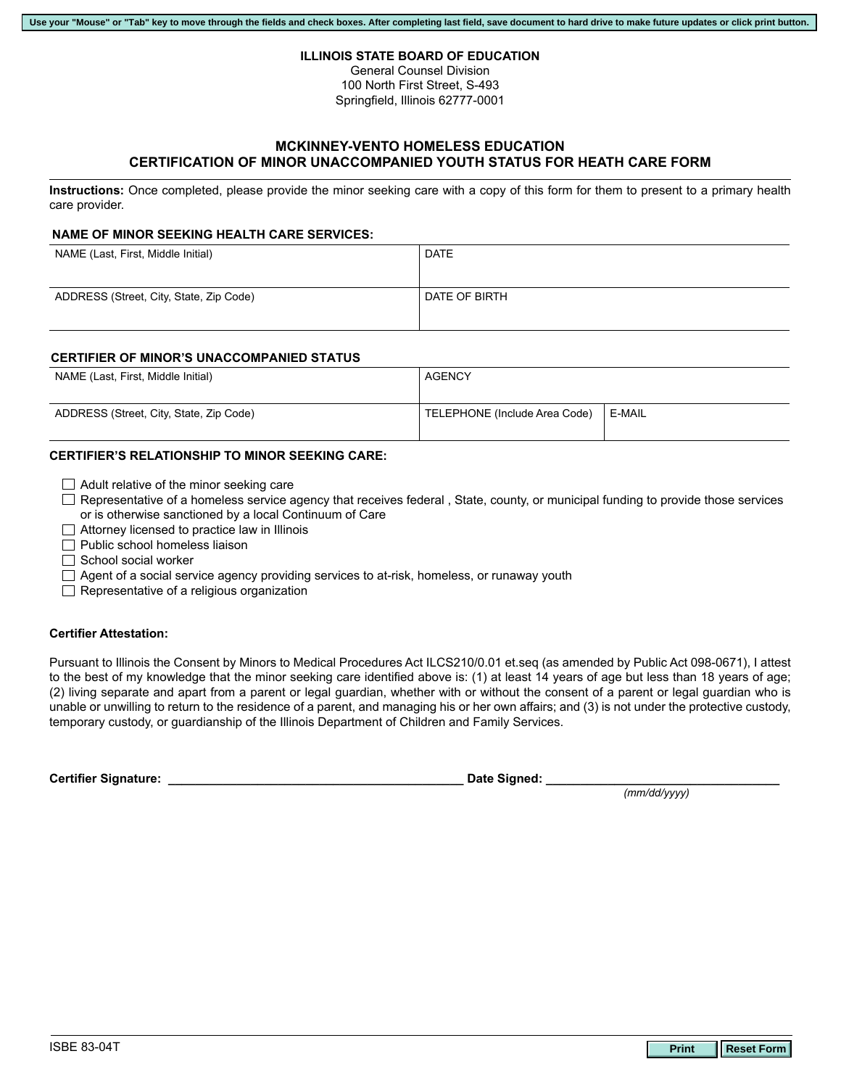#### **ILLINOIS STATE BOARD OF EDUCATION**

General Counsel Division 100 North First Street, S-493 Springfield, Illinois 62777-0001

# **MCKINNEY-VENTO HOMELESS EDUCATION CERTIFICATION OF MINOR UNACCOMPANIED YOUTH STATUS FOR HEATH CARE FORM**

**Instructions:** Once completed, please provide the minor seeking care with a copy of this form for them to present to a primary health care provider.

## **NAME OF MINOR SEEKING HEALTH CARE SERVICES:**

| NAME (Last, First, Middle Initial)      | <b>DATE</b>   |
|-----------------------------------------|---------------|
| ADDRESS (Street, City, State, Zip Code) | DATE OF BIRTH |

## **CERTIFIER OF MINOR'S UNACCOMPANIED STATUS**

| NAME (Last, First, Middle Initial)      | AGENCY                        |        |
|-----------------------------------------|-------------------------------|--------|
| ADDRESS (Street, City, State, Zip Code) | TELEPHONE (Include Area Code) | E-MAIL |

# **CERTIFIER'S RELATIONSHIP TO MINOR SEEKING CARE:**

| $\Box$ Adult relative of the minor seeking care |  |
|-------------------------------------------------|--|
|-------------------------------------------------|--|

- $\Box$  Representative of a homeless service agency that receives federal , State, county, or municipal funding to provide those services or is otherwise sanctioned by a local Continuum of Care
- $\Box$  Attorney licensed to practice law in Illinois
- $\Box$  Public school homeless liaison
- $\Box$  School social worker
- $\Box$  Agent of a social service agency providing services to at-risk, homeless, or runaway youth
- $\Box$  Representative of a religious organization

## **Certifier Attestation:**

Pursuant to Illinois the Consent by Minors to Medical Procedures Act ILCS210/0.01 et.seq (as amended by Public Act 098-0671), I attest to the best of my knowledge that the minor seeking care identified above is: (1) at least 14 years of age but less than 18 years of age; (2) living separate and apart from a parent or legal guardian, whether with or without the consent of a parent or legal guardian who is unable or unwilling to return to the residence of a parent, and managing his or her own affairs; and (3) is not under the protective custody, temporary custody, or guardianship of the Illinois Department of Children and Family Services.

**Certifier Signature: \_\_\_\_\_\_\_\_\_\_\_\_\_\_\_\_\_\_\_\_\_\_\_\_\_\_\_\_\_\_\_\_\_\_\_\_\_\_\_\_\_\_\_ Date Signed: \_\_\_\_\_\_\_\_\_\_\_\_\_\_\_\_\_\_\_\_\_\_\_\_\_\_\_\_\_\_\_\_\_\_**

*(mm/dd/yyyy)*